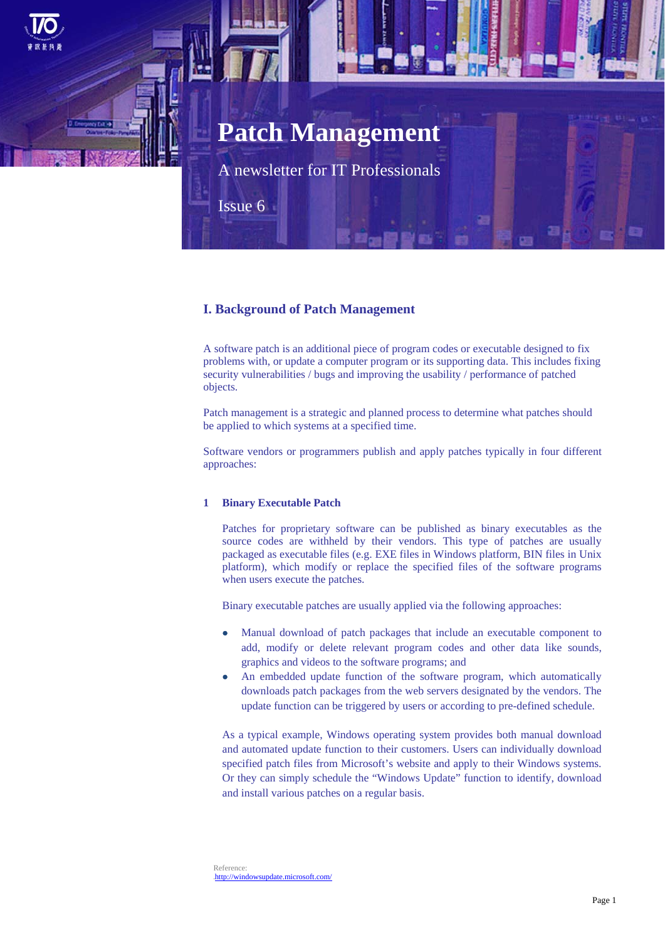# **Patch Management**

A newsletter for IT Professionals

Issue 6

## **I. Background of Patch Management**

A software patch is an additional piece of program codes or executable designed to fix problems with, or update a computer program or its supporting data. This includes fixing security vulnerabilities / bugs and improving the usability / performance of patched objects.

Patch management is a strategic and planned process to determine what patches should be applied to which systems at a specified time.

Software vendors or programmers publish and apply patches typically in four different approaches:

#### **1 Binary Executable Patch**

Patches for proprietary software can be published as binary executables as the source codes are withheld by their vendors. This type of patches are usually packaged as executable files (e.g. EXE files in Windows platform, BIN files in Unix platform), which modify or replace the specified files of the software programs when users execute the patches.

Binary executable patches are usually applied via the following approaches:

- Manual download of patch packages that include an executable component to add, modify or delete relevant program codes and other data like sounds, graphics and videos to the software programs; and
- An embedded update function of the software program, which automatically downloads patch packages from the web servers designated by the vendors. The update function can be triggered by users or according to pre-defined schedule.

As a typical example, Windows operating system provides both manual download and automated update function to their customers. Users can individually download specified patch files from Microsoft's website and apply to their Windows systems. Or they can simply schedule the "Windows Update" function to identify, download and install various patches on a regular basis.

Reference: 5Hhttp://windowsupdate.microsoft.com/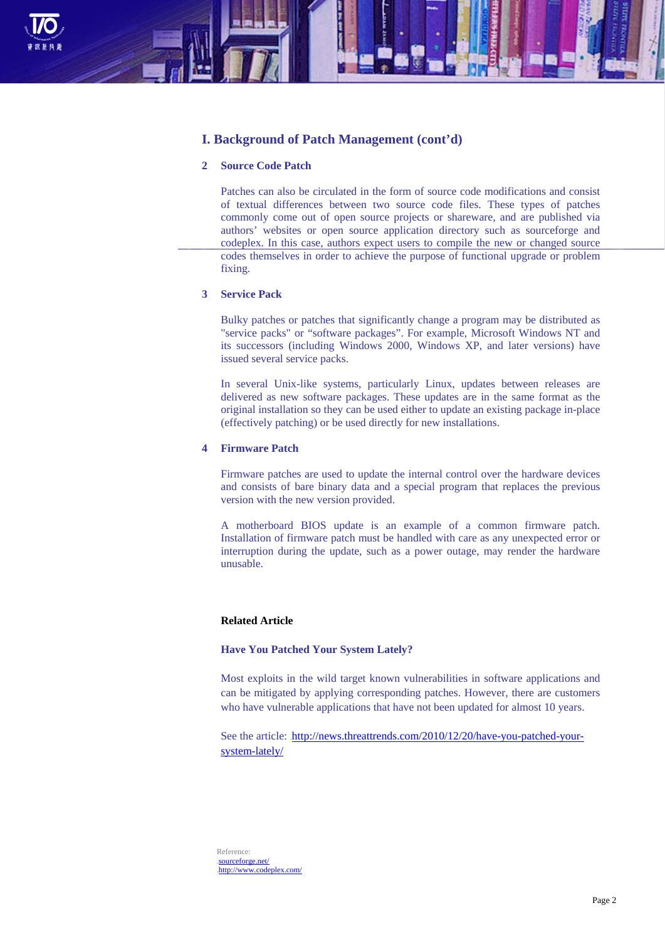

## **I. Background of Patch Management (cont'd)**

#### **2 Source Code Patch**

Patches can also be circulated in the form of source code modifications and consist of textual differences between two source code files. These types of patches commonly come out of open source projects or shareware, and are published via authors' websites or open source application directory such as sourceforge and codeplex. In this case, authors expect users to compile the new or changed source codes themselves in order to achieve the purpose of functional upgrade or problem fixing.

#### **3 Service Pack**

Bulky patches or patches that significantly change a program may be distributed as "service packs" or "software packages". For example, Microsoft Windows NT and its successors (including Windows 2000, Windows XP, and later versions) have issued several service packs.

In several Unix-like systems, particularly Linux, updates between releases are delivered as new software packages. These updates are in the same format as the original installation so they can be used either to update an existing package in-place (effectively patching) or be used directly for new installations.

#### **4 Firmware Patch**

Firmware patches are used to update the internal control over the hardware devices and consists of bare binary data and a special program that replaces the previous version with the new version provided.

A motherboard BIOS update is an example of a common firmware patch. Installation of firmware patch must be handled with care as any unexpected error or interruption during the update, such as a power outage, may render the hardware unusable.

#### **Related Article**

#### **Have You Patched Your System Lately?**

Most exploits in the wild target known vulnerabilities in software applications and can be mitigated by applying corresponding patches. However, there are customers who have vulnerable applications that have not been updated for almost 10 years.

See the article: http://news.threattrends.com/2010/12/20/have-you-patched-yoursystem-lately/

Reference: 12Hsourceforge.net/ 13Hhttp://www.codeplex.com/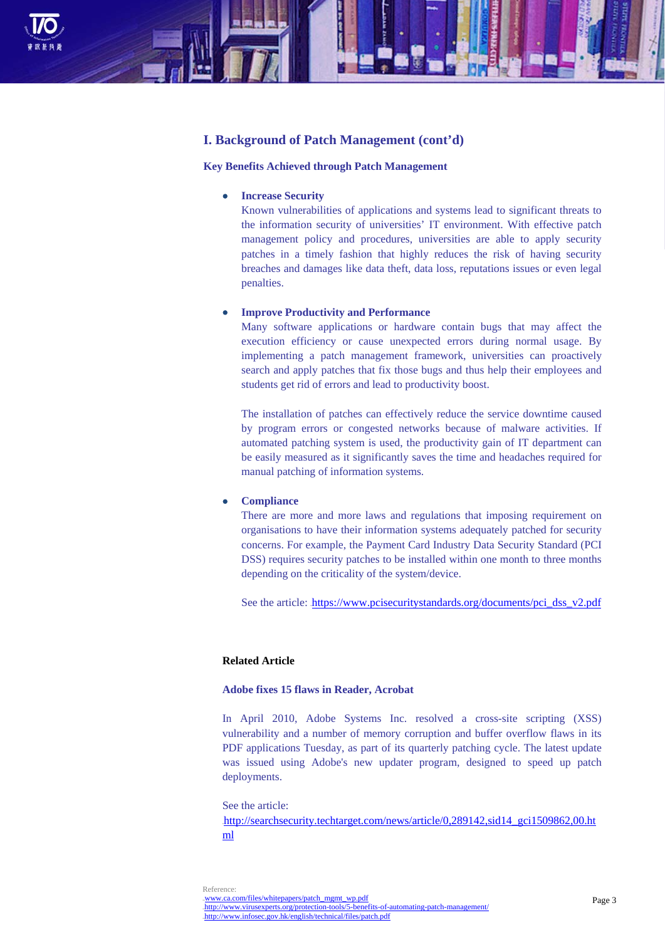

## **I. Background of Patch Management (cont'd)**

#### **Key Benefits Achieved through Patch Management**

#### **Increase Security**

Known vulnerabilities of applications and systems lead to significant threats to the information security of universities' IT environment. With effective patch management policy and procedures, universities are able to apply security patches in a timely fashion that highly reduces the risk of having security breaches and damages like data theft, data loss, reputations issues or even legal penalties.

#### **Improve Productivity and Performance**

Many software applications or hardware contain bugs that may affect the execution efficiency or cause unexpected errors during normal usage. By implementing a patch management framework, universities can proactively search and apply patches that fix those bugs and thus help their employees and students get rid of errors and lead to productivity boost.

The installation of patches can effectively reduce the service downtime caused by program errors or congested networks because of malware activities. If automated patching system is used, the productivity gain of IT department can be easily measured as it significantly saves the time and headaches required for manual patching of information systems.

#### **Compliance**

There are more and more laws and regulations that imposing requirement on organisations to have their information systems adequately patched for security concerns. For example, the Payment Card Industry Data Security Standard (PCI DSS) requires security patches to be installed within one month to three months depending on the criticality of the system/device.

See the article: https://www.pcisecuritystandards.org/documents/pci\_dss\_v2.pdf

#### **Related Article**

#### **Adobe fixes 15 flaws in Reader, Acrobat**

In April 2010, Adobe Systems Inc. resolved a cross-site scripting (XSS) vulnerability and a number of memory corruption and buffer overflow flaws in its PDF applications Tuesday, as part of its quarterly patching cycle. The latest update was issued using Adobe's new updater program, designed to speed up patch deployments.

See the article: 1Hhttp://searchsecurity.techtarget.com/news/article/0,289142,sid14\_gci1509862,00.ht ml

Reference: www.ca.com/files/whitepapers/patch\_mgmt\_wp.pdf http://www.virusexperts.org/protection-tools/5-benefits-of-automating-patch-management/ 16Hhttp://www.infosec.gov.hk/english/technical/files/patch.pdf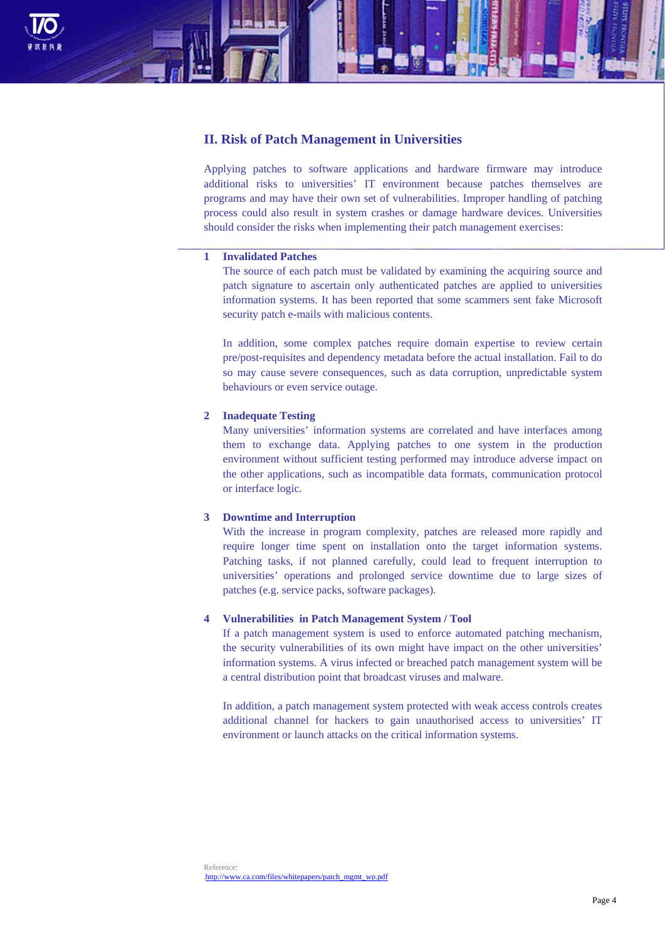

## **II. Risk of Patch Management in Universities**

Applying patches to software applications and hardware firmware may introduce additional risks to universities' IT environment because patches themselves are programs and may have their own set of vulnerabilities. Improper handling of patching process could also result in system crashes or damage hardware devices. Universities should consider the risks when implementing their patch management exercises:

#### **1 Invalidated Patches**

The source of each patch must be validated by examining the acquiring source and patch signature to ascertain only authenticated patches are applied to universities information systems. It has been reported that some scammers sent fake Microsoft security patch e-mails with malicious contents.

In addition, some complex patches require domain expertise to review certain pre/post-requisites and dependency metadata before the actual installation. Fail to do so may cause severe consequences, such as data corruption, unpredictable system behaviours or even service outage.

#### **2 Inadequate Testing**

Many universities' information systems are correlated and have interfaces among them to exchange data. Applying patches to one system in the production environment without sufficient testing performed may introduce adverse impact on the other applications, such as incompatible data formats, communication protocol or interface logic.

#### **3 Downtime and Interruption**

With the increase in program complexity, patches are released more rapidly and require longer time spent on installation onto the target information systems. Patching tasks, if not planned carefully, could lead to frequent interruption to universities' operations and prolonged service downtime due to large sizes of patches (e.g. service packs, software packages).

#### **4 Vulnerabilities in Patch Management System / Tool**

If a patch management system is used to enforce automated patching mechanism, the security vulnerabilities of its own might have impact on the other universities' information systems. A virus infected or breached patch management system will be a central distribution point that broadcast viruses and malware.

In addition, a patch management system protected with weak access controls creates additional channel for hackers to gain unauthorised access to universities' IT environment or launch attacks on the critical information systems.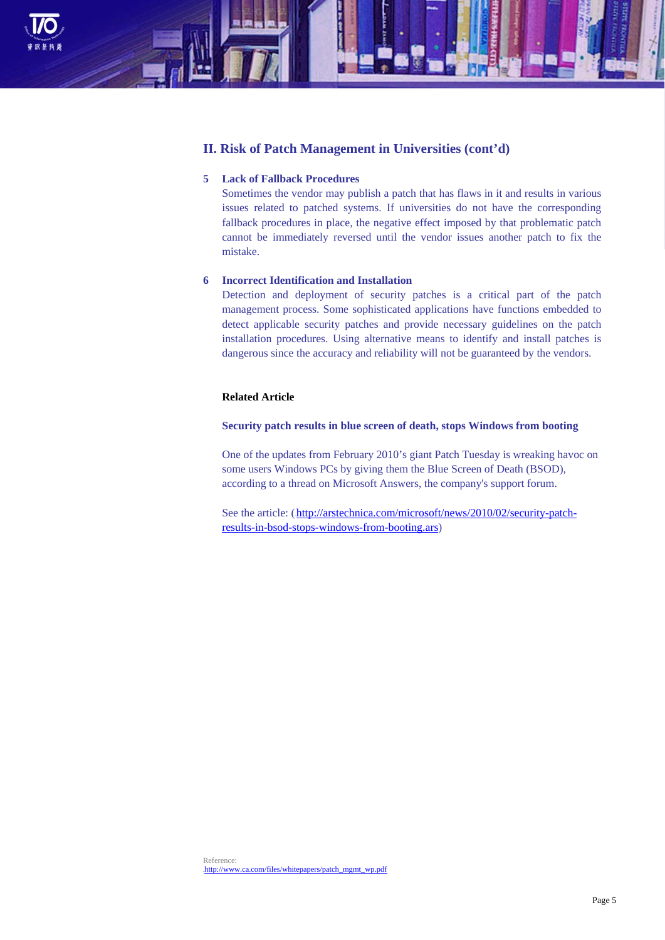

## **II. Risk of Patch Management in Universities (cont'd)**

#### **5 Lack of Fallback Procedures**

Sometimes the vendor may publish a patch that has flaws in it and results in various issues related to patched systems. If universities do not have the corresponding fallback procedures in place, the negative effect imposed by that problematic patch cannot be immediately reversed until the vendor issues another patch to fix the mistake.

#### **6 Incorrect Identification and Installation**

Detection and deployment of security patches is a critical part of the patch management process. Some sophisticated applications have functions embedded to detect applicable security patches and provide necessary guidelines on the patch installation procedures. Using alternative means to identify and install patches is dangerous since the accuracy and reliability will not be guaranteed by the vendors.

## **Related Article**

#### **Security patch results in blue screen of death, stops Windows from booting**

One of the updates from February 2010's giant Patch Tuesday is wreaking havoc on some users Windows PCs by giving them the Blue Screen of Death (BSOD), according to a thread on Microsoft Answers, the company's support forum.

See the article: (http://arstechnica.com/microsoft/news/2010/02/security-patchresults-in-bsod-stops-windows-from-booting.ars)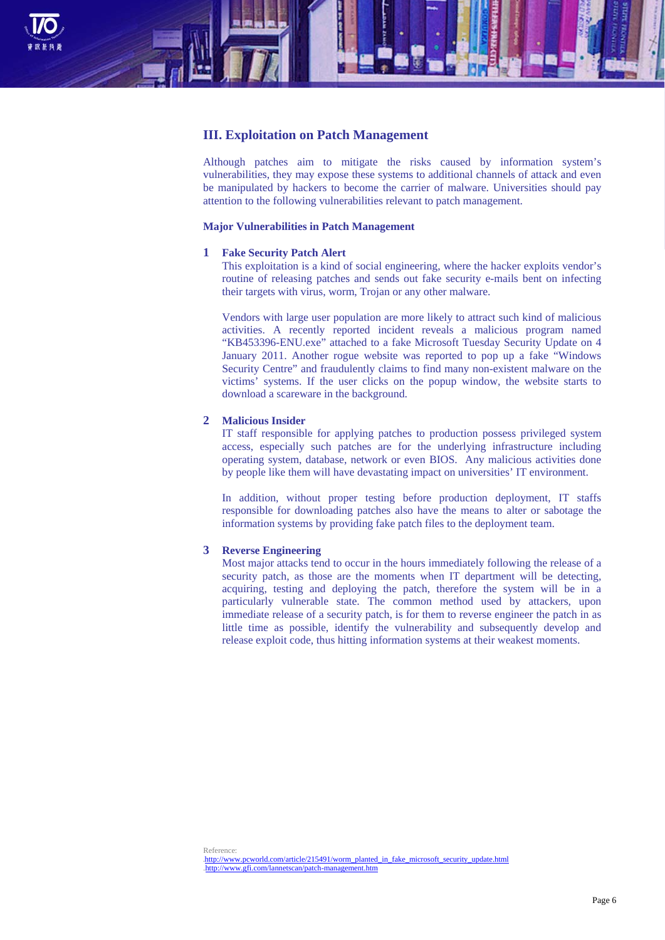

### **III. Exploitation on Patch Management**

Although patches aim to mitigate the risks caused by information system's vulnerabilities, they may expose these systems to additional channels of attack and even be manipulated by hackers to become the carrier of malware. Universities should pay attention to the following vulnerabilities relevant to patch management.

#### **Major Vulnerabilities in Patch Management**

#### **1 Fake Security Patch Alert**

This exploitation is a kind of social engineering, where the hacker exploits vendor's routine of releasing patches and sends out fake security e-mails bent on infecting their targets with virus, worm, Trojan or any other malware.

Vendors with large user population are more likely to attract such kind of malicious activities. A recently reported incident reveals a malicious program named "KB453396-ENU.exe" attached to a fake Microsoft Tuesday Security Update on 4 January 2011. Another rogue website was reported to pop up a fake "Windows Security Centre" and fraudulently claims to find many non-existent malware on the victims' systems. If the user clicks on the popup window, the website starts to download a scareware in the background.

#### **2 Malicious Insider**

IT staff responsible for applying patches to production possess privileged system access, especially such patches are for the underlying infrastructure including operating system, database, network or even BIOS. Any malicious activities done by people like them will have devastating impact on universities' IT environment.

In addition, without proper testing before production deployment, IT staffs responsible for downloading patches also have the means to alter or sabotage the information systems by providing fake patch files to the deployment team.

#### **3 Reverse Engineering**

Most major attacks tend to occur in the hours immediately following the release of a security patch, as those are the moments when IT department will be detecting, acquiring, testing and deploying the patch, therefore the system will be in a particularly vulnerable state. The common method used by attackers, upon immediate release of a security patch, is for them to reverse engineer the patch in as little time as possible, identify the vulnerability and subsequently develop and release exploit code, thus hitting information systems at their weakest moments.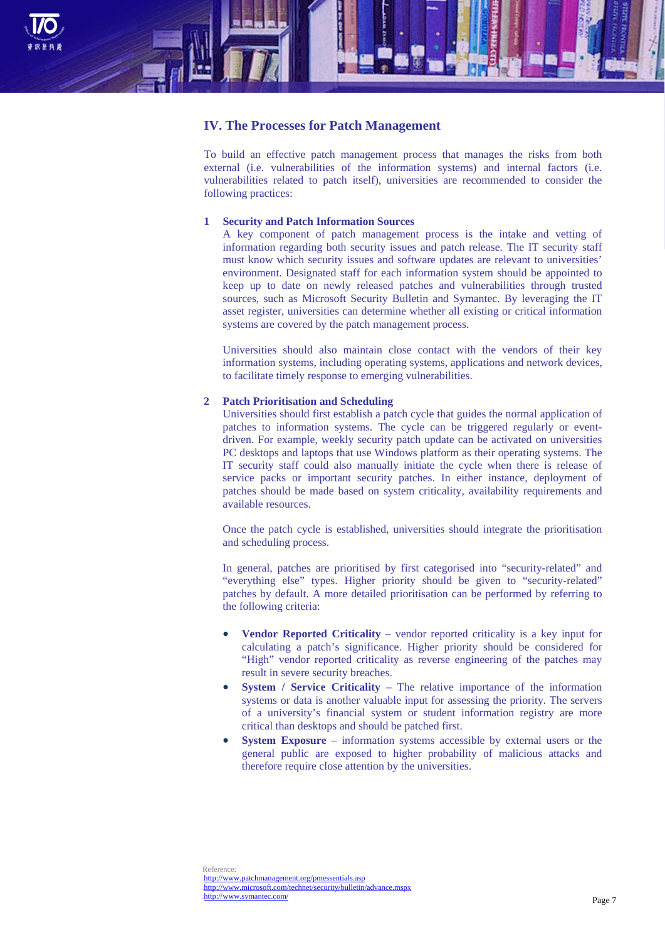

## **IV. The Processes for Patch Management**

To build an effective patch management process that manages the risks from both external (i.e. vulnerabilities of the information systems) and internal factors (i.e. vulnerabilities related to patch itself), universities are recommended to consider the following practices:

#### **1 Security and Patch Information Sources**

A key component of patch management process is the intake and vetting of information regarding both security issues and patch release. The IT security staff must know which security issues and software updates are relevant to universities' environment. Designated staff for each information system should be appointed to keep up to date on newly released patches and vulnerabilities through trusted sources, such as Microsoft Security Bulletin and Symantec. By leveraging the IT asset register, universities can determine whether all existing or critical information systems are covered by the patch management process.

Universities should also maintain close contact with the vendors of their key information systems, including operating systems, applications and network devices, to facilitate timely response to emerging vulnerabilities.

#### **2 Patch Prioritisation and Scheduling**

Universities should first establish a patch cycle that guides the normal application of patches to information systems. The cycle can be triggered regularly or eventdriven. For example, weekly security patch update can be activated on universities PC desktops and laptops that use Windows platform as their operating systems. The IT security staff could also manually initiate the cycle when there is release of service packs or important security patches. In either instance, deployment of patches should be made based on system criticality, availability requirements and available resources.

Once the patch cycle is established, universities should integrate the prioritisation and scheduling process.

In general, patches are prioritised by first categorised into "security-related" and "everything else" types. Higher priority should be given to "security-related" patches by default. A more detailed prioritisation can be performed by referring to the following criteria:

- **Vendor Reported Criticality** vendor reported criticality is a key input for calculating a patch's significance. Higher priority should be considered for "High" vendor reported criticality as reverse engineering of the patches may result in severe security breaches.
- **System / Service Criticality** The relative importance of the information systems or data is another valuable input for assessing the priority. The servers of a university's financial system or student information registry are more critical than desktops and should be patched first.
- **System Exposure** information systems accessible by external users or the general public are exposed to higher probability of malicious attacks and therefore require close attention by the universities.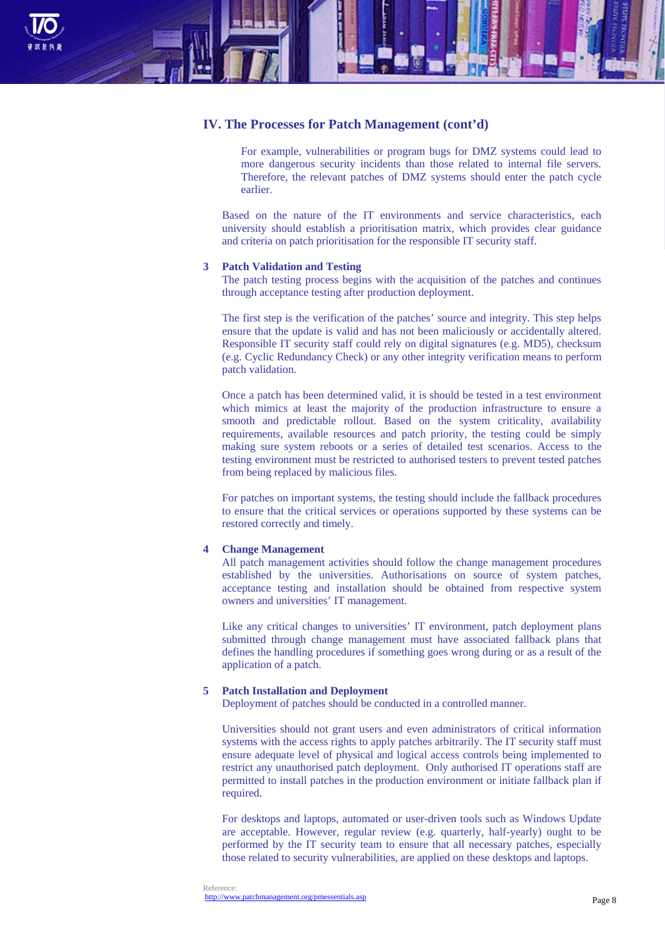

## **IV. The Processes for Patch Management (cont'd)**

For example, vulnerabilities or program bugs for DMZ systems could lead to more dangerous security incidents than those related to internal file servers. Therefore, the relevant patches of DMZ systems should enter the patch cycle earlier.

Based on the nature of the IT environments and service characteristics, each university should establish a prioritisation matrix, which provides clear guidance and criteria on patch prioritisation for the responsible IT security staff.

#### **3 Patch Validation and Testing**

The patch testing process begins with the acquisition of the patches and continues through acceptance testing after production deployment.

The first step is the verification of the patches' source and integrity. This step helps ensure that the update is valid and has not been maliciously or accidentally altered. Responsible IT security staff could rely on digital signatures (e.g. MD5), checksum (e.g. Cyclic Redundancy Check) or any other integrity verification means to perform patch validation.

Once a patch has been determined valid, it is should be tested in a test environment which mimics at least the majority of the production infrastructure to ensure a smooth and predictable rollout. Based on the system criticality, availability requirements, available resources and patch priority, the testing could be simply making sure system reboots or a series of detailed test scenarios. Access to the testing environment must be restricted to authorised testers to prevent tested patches from being replaced by malicious files.

For patches on important systems, the testing should include the fallback procedures to ensure that the critical services or operations supported by these systems can be restored correctly and timely.

#### **4 Change Management**

All patch management activities should follow the change management procedures established by the universities. Authorisations on source of system patches, acceptance testing and installation should be obtained from respective system owners and universities' IT management.

Like any critical changes to universities' IT environment, patch deployment plans submitted through change management must have associated fallback plans that defines the handling procedures if something goes wrong during or as a result of the application of a patch.

## **5 Patch Installation and Deployment**

Deployment of patches should be conducted in a controlled manner.

Universities should not grant users and even administrators of critical information systems with the access rights to apply patches arbitrarily. The IT security staff must ensure adequate level of physical and logical access controls being implemented to restrict any unauthorised patch deployment. Only authorised IT operations staff are permitted to install patches in the production environment or initiate fallback plan if required.

For desktops and laptops, automated or user-driven tools such as Windows Update are acceptable. However, regular review (e.g. quarterly, half-yearly) ought to be performed by the IT security team to ensure that all necessary patches, especially those related to security vulnerabilities, are applied on these desktops and laptops.